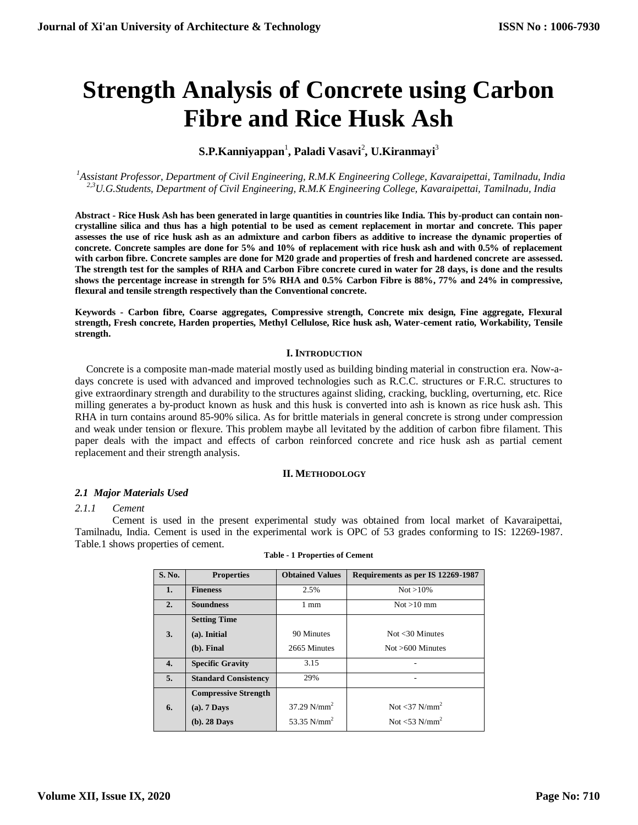# **Strength Analysis of Concrete using Carbon Fibre and Rice Husk Ash**

## $\mathbf{S.P.}$ Kanniyappan<sup>1</sup>, Paladi Vasavi<sup>2</sup>, U.Kiranmayi<sup>3</sup>

*<sup>1</sup>Assistant Professor, Department of Civil Engineering, R.M.K Engineering College, Kavaraipettai, Tamilnadu, India 2,3U.G.Students, Department of Civil Engineering, R.M.K Engineering College, Kavaraipettai, Tamilnadu, India*

**Abstract - Rice Husk Ash has been generated in large quantities in countries like India. This by-product can contain noncrystalline silica and thus has a high potential to be used as cement replacement in mortar and concrete. This paper assesses the use of rice husk ash as an admixture and carbon fibers as additive to increase the dynamic properties of concrete. Concrete samples are done for 5% and 10% of replacement with rice husk ash and with 0.5% of replacement with carbon fibre. Concrete samples are done for M20 grade and properties of fresh and hardened concrete are assessed. The strength test for the samples of RHA and Carbon Fibre concrete cured in water for 28 days, is done and the results shows the percentage increase in strength for 5% RHA and 0.5% Carbon Fibre is 88%, 77% and 24% in compressive, flexural and tensile strength respectively than the Conventional concrete.**

**Keywords - Carbon fibre, Coarse aggregates, Compressive strength, Concrete mix design, Fine aggregate, Flexural strength, Fresh concrete, Harden properties, Methyl Cellulose, Rice husk ash, Water-cement ratio, Workability, Tensile strength.**

## **I. INTRODUCTION**

Concrete is a composite man-made material mostly used as building binding material in construction era. Now-adays concrete is used with advanced and improved technologies such as R.C.C. structures or F.R.C. structures to give extraordinary strength and durability to the structures against sliding, cracking, buckling, overturning, etc. Rice milling generates a by-product known as husk and this husk is converted into ash is known as rice husk ash. This RHA in turn contains around 85-90% silica. As for brittle materials in general concrete is strong under compression and weak under tension or flexure. This problem maybe all levitated by the addition of carbon fibre filament. This paper deals with the impact and effects of carbon reinforced concrete and rice husk ash as partial cement replacement and their strength analysis.

## **II. METHODOLOGY**

## *2.1 Major Materials Used*

#### *2.1.1 Cement*

Cement is used in the present experimental study was obtained from local market of Kavaraipettai, Tamilnadu, India. Cement is used in the experimental work is OPC of 53 grades conforming to IS: 12269-1987. Table.1 shows properties of cement.

| S. No. | <b>Properties</b>           | <b>Obtained Values</b>    | Requirements as per IS 12269-1987 |
|--------|-----------------------------|---------------------------|-----------------------------------|
| 1.     | <b>Fineness</b>             | 2.5%                      | $Not > 10\%$                      |
| 2.     | <b>Soundness</b>            | 1 mm                      | $Not > 10$ mm                     |
|        | <b>Setting Time</b>         |                           |                                   |
| 3.     | (a). Initial                | 90 Minutes                | Not $<$ 30 Minutes                |
|        | $(b)$ . Final               | 2665 Minutes              | $Not > 600$ Minutes               |
| 4.     | <b>Specific Gravity</b>     | 3.15                      |                                   |
| 5.     | <b>Standard Consistency</b> | 29%                       |                                   |
|        | <b>Compressive Strength</b> |                           |                                   |
| 6.     | $(a)$ . 7 Days              | $37.29$ N/mm <sup>2</sup> | Not $<$ 37 N/mm <sup>2</sup>      |
|        | $(b)$ . 28 Days             | 53.35 $N/mm^2$            | Not $<$ 53 N/mm <sup>2</sup>      |

| <b>Table - 1 Properties of Cement</b> |  |  |  |  |  |
|---------------------------------------|--|--|--|--|--|
|---------------------------------------|--|--|--|--|--|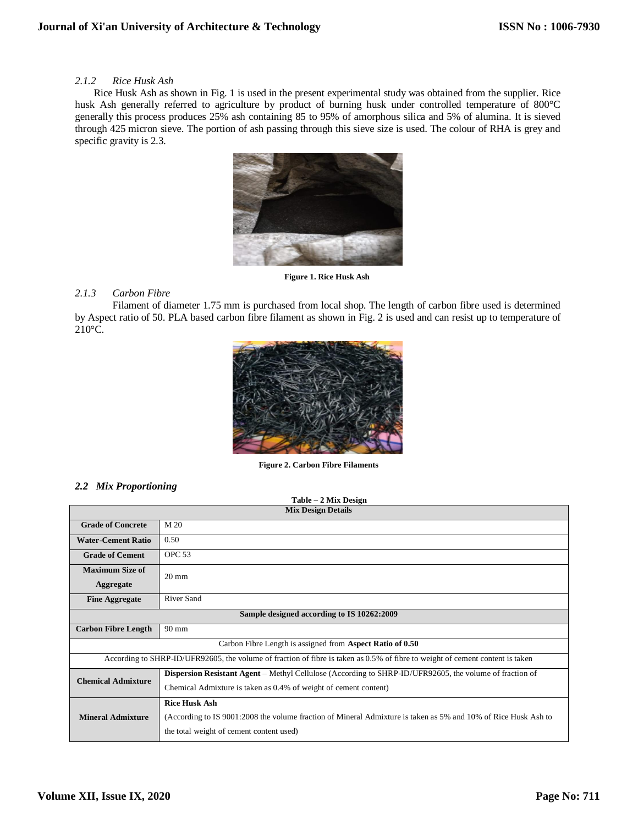## *2.1.2 Rice Husk Ash*

Rice Husk Ash as shown in Fig. 1 is used in the present experimental study was obtained from the supplier. Rice husk Ash generally referred to agriculture by product of burning husk under controlled temperature of 800°C generally this process produces 25% ash containing 85 to 95% of amorphous silica and 5% of alumina. It is sieved through 425 micron sieve. The portion of ash passing through this sieve size is used. The colour of RHA is grey and specific gravity is 2.3.



**Figure 1. Rice Husk Ash**

## *2.1.3 Carbon Fibre*

Filament of diameter 1.75 mm is purchased from local shop. The length of carbon fibre used is determined by Aspect ratio of 50. PLA based carbon fibre filament as shown in Fig. 2 is used and can resist up to temperature of 210°C.



**Figure 2. Carbon Fibre Filaments**

## *2.2 Mix Proportioning*

| Table - 2 Mix Design                       |                                                                                                                               |  |  |  |  |  |  |
|--------------------------------------------|-------------------------------------------------------------------------------------------------------------------------------|--|--|--|--|--|--|
|                                            | <b>Mix Design Details</b>                                                                                                     |  |  |  |  |  |  |
| <b>Grade of Concrete</b>                   | M <sub>20</sub>                                                                                                               |  |  |  |  |  |  |
| <b>Water-Cement Ratio</b>                  | 0.50                                                                                                                          |  |  |  |  |  |  |
| <b>Grade of Cement</b>                     | OPC <sub>53</sub>                                                                                                             |  |  |  |  |  |  |
| <b>Maximum Size of</b>                     | $20 \text{ mm}$                                                                                                               |  |  |  |  |  |  |
| <b>Aggregate</b>                           |                                                                                                                               |  |  |  |  |  |  |
| <b>Fine Aggregate</b>                      | <b>River Sand</b>                                                                                                             |  |  |  |  |  |  |
| Sample designed according to IS 10262:2009 |                                                                                                                               |  |  |  |  |  |  |
| <b>Carbon Fibre Length</b>                 | $90 \text{ mm}$                                                                                                               |  |  |  |  |  |  |
|                                            | Carbon Fibre Length is assigned from Aspect Ratio of 0.50                                                                     |  |  |  |  |  |  |
|                                            | According to SHRP-ID/UFR92605, the volume of fraction of fibre is taken as 0.5% of fibre to weight of cement content is taken |  |  |  |  |  |  |
|                                            | Dispersion Resistant Agent – Methyl Cellulose (According to SHRP-ID/UFR92605, the volume of fraction of                       |  |  |  |  |  |  |
| <b>Chemical Admixture</b>                  | Chemical Admixture is taken as 0.4% of weight of cement content)                                                              |  |  |  |  |  |  |
|                                            | <b>Rice Husk Ash</b>                                                                                                          |  |  |  |  |  |  |
| <b>Mineral Admixture</b>                   | (According to IS 9001:2008 the volume fraction of Mineral Admixture is taken as 5% and 10% of Rice Husk Ash to                |  |  |  |  |  |  |
|                                            | the total weight of cement content used)                                                                                      |  |  |  |  |  |  |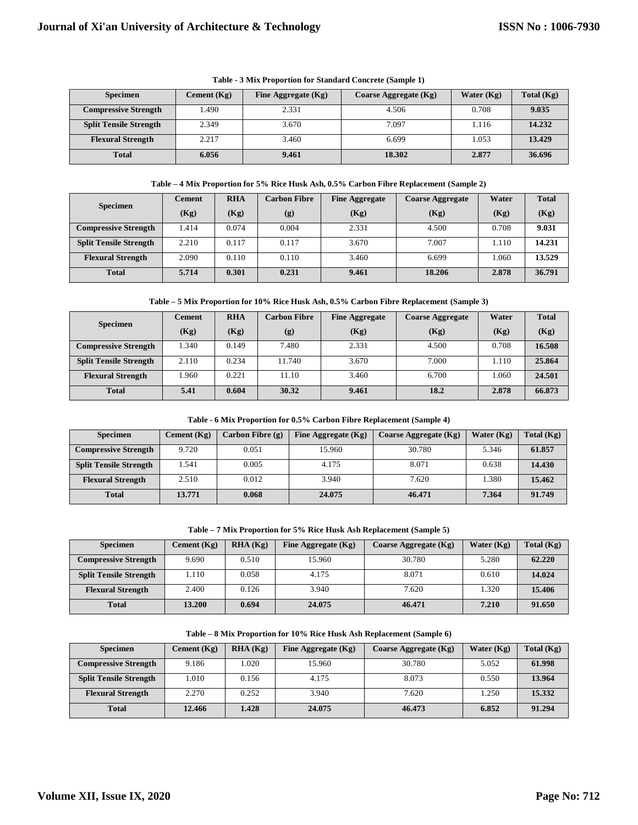| <b>Specimen</b>               | Cement $(Kg)$ | Fine Aggregate (Kg) | Coarse Aggregate (Kg) | Water $(Kg)$ | Total $(Kg)$ |
|-------------------------------|---------------|---------------------|-----------------------|--------------|--------------|
| <b>Compressive Strength</b>   | 1.490         | 2.331               | 4.506                 | 0.708        | 9.035        |
| <b>Split Tensile Strength</b> | 2.349         | 3.670               | 7.097                 | 1.116        | 14.232       |
| <b>Flexural Strength</b>      | 2.217         | 3.460               | 6.699                 | .053         | 13.429       |
| <b>Total</b>                  | 6.056         | 9.461               | 18.302                | 2.877        | 36.696       |

**Table - 3 Mix Proportion for Standard Concrete (Sample 1)**

#### **Table – 4 Mix Proportion for 5% Rice Husk Ash, 0.5% Carbon Fibre Replacement (Sample 2)**

|                               | <b>Cement</b> | <b>RHA</b> | Carbon Fibre | <b>Fine Aggregate</b> | <b>Coarse Aggregate</b> | Water | <b>Total</b> |
|-------------------------------|---------------|------------|--------------|-----------------------|-------------------------|-------|--------------|
| <b>Specimen</b>               | (Kg)          | (Kg)       | (g)          | (Kg)                  | (Kg)                    | (Kg)  | (Kg)         |
| <b>Compressive Strength</b>   | 1.414         | 0.074      | 0.004        | 2.331                 | 4.500                   | 0.708 | 9.031        |
| <b>Split Tensile Strength</b> | 2.210         | 0.117      | 0.117        | 3.670                 | 7.007                   | 1.110 | 14.231       |
| <b>Flexural Strength</b>      | 2.090         | 0.110      | 0.110        | 3.460                 | 6.699                   | 1.060 | 13.529       |
| <b>Total</b>                  | 5.714         | 0.301      | 0.231        | 9.461                 | 18.206                  | 2.878 | 36.791       |

#### **Table – 5 Mix Proportion for 10% Rice Husk Ash, 0.5% Carbon Fibre Replacement (Sample 3)**

| <b>Specimen</b>               | <b>Cement</b> | <b>RHA</b> | Carbon Fibre | <b>Fine Aggregate</b> | <b>Coarse Aggregate</b> | Water | <b>Total</b> |
|-------------------------------|---------------|------------|--------------|-----------------------|-------------------------|-------|--------------|
|                               | (Kg)          | (Kg)       | (g)          | (Kg)                  | (Kg)                    | (Kg)  | (Kg)         |
| <b>Compressive Strength</b>   | 1.340         | 0.149      | 7.480        | 2.331                 | 4.500                   | 0.708 | 16.508       |
| <b>Split Tensile Strength</b> | 2.110         | 0.234      | 11.740       | 3.670                 | 7.000                   | 1.110 | 25.864       |
| <b>Flexural Strength</b>      | 1.960         | 0.221      | 11.10        | 3.460                 | 6.700                   | 1.060 | 24.501       |
| <b>Total</b>                  | 5.41          | 0.604      | 30.32        | 9.461                 | 18.2                    | 2.878 | 66.873       |

#### **Table - 6 Mix Proportion for 0.5% Carbon Fibre Replacement (Sample 4)**

| <b>Specimen</b>               | Cement $(Kg)$ | Carbon Fibre (g) | Fine Aggregate $(Kg)$ | Coarse Aggregate (Kg) | Water $(Kg)$ | Total $(Kg)$ |
|-------------------------------|---------------|------------------|-----------------------|-----------------------|--------------|--------------|
| <b>Compressive Strength</b>   | 9.720         | 0.051            | 15.960                | 30.780                | 5.346        | 61.857       |
| <b>Split Tensile Strength</b> | 1.541         | 0.005            | 4.175                 | 8.071                 | 0.638        | 14.430       |
| <b>Flexural Strength</b>      | 2.510         | 0.012            | 3.940                 | 7.620                 | .380         | 15.462       |
| <b>Total</b>                  | 13.771        | 0.068            | 24,075                | 46.471                | 7.364        | 91.749       |

#### **Table – 7 Mix Proportion for 5% Rice Husk Ash Replacement (Sample 5)**

| <b>Specimen</b>               | Cement $(Kg)$ | RHA(Kg) | Fine Aggregate (Kg) | <b>Coarse Aggregate (Kg)</b> | Water $(Kg)$ | Total $(Kg)$ |
|-------------------------------|---------------|---------|---------------------|------------------------------|--------------|--------------|
| <b>Compressive Strength</b>   | 9.690         | 0.510   | 15.960              | 30.780                       | 5.280        | 62.220       |
| <b>Split Tensile Strength</b> | 1.110         | 0.058   | 4.175               | 8.071                        | 0.610        | 14.024       |
| <b>Flexural Strength</b>      | 2.400         | 0.126   | 3.940               | 7.620                        | 1.320        | 15.406       |
| <b>Total</b>                  | 13.200        | 0.694   | 24.075              | 46.471                       | 7.210        | 91.650       |

| Table – 8 Mix Proportion for 10% Rice Husk Ash Replacement (Sample 6) |  |  |
|-----------------------------------------------------------------------|--|--|
|-----------------------------------------------------------------------|--|--|

| <b>Specimen</b>               | Cement $(Kg)$ | RHA (Kg) | Fine Aggregate $(Kg)$ | Coarse Aggregate (Kg) | Water $(Kg)$ | Total $(Kg)$ |
|-------------------------------|---------------|----------|-----------------------|-----------------------|--------------|--------------|
| <b>Compressive Strength</b>   | 9.186         | 0.020    | 15.960                | 30.780                | 5.052        | 61.998       |
| <b>Split Tensile Strength</b> | 1.010         | 0.156    | 4.175                 | 8.073                 | 0.550        | 13.964       |
| <b>Flexural Strength</b>      | 2.270         | 0.252    | 3.940                 | 7.620                 | 1.250        | 15.332       |
| <b>Total</b>                  | 12.466        | 1.428    | 24,075                | 46.473                | 6.852        | 91.294       |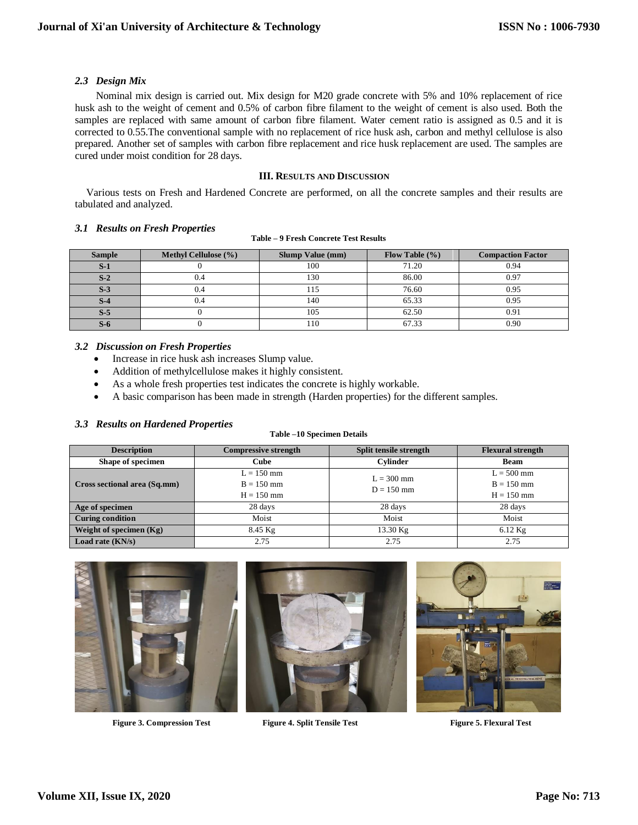## *2.3 Design Mix*

Nominal mix design is carried out. Mix design for M20 grade concrete with 5% and 10% replacement of rice husk ash to the weight of cement and 0.5% of carbon fibre filament to the weight of cement is also used. Both the samples are replaced with same amount of carbon fibre filament. Water cement ratio is assigned as 0.5 and it is corrected to 0.55.The conventional sample with no replacement of rice husk ash, carbon and methyl cellulose is also prepared. Another set of samples with carbon fibre replacement and rice husk replacement are used. The samples are cured under moist condition for 28 days.

## **III. RESULTS AND DISCUSSION**

Various tests on Fresh and Hardened Concrete are performed, on all the concrete samples and their results are tabulated and analyzed.

## *3.1 Results on Fresh Properties*

#### **Table – 9 Fresh Concrete Test Results**

| Sample | <b>Methyl Cellulose</b> (%) | <b>Slump Value (mm)</b> | Flow Table $(\% )$ | <b>Compaction Factor</b> |
|--------|-----------------------------|-------------------------|--------------------|--------------------------|
| $S-1$  |                             | 100                     | 71.20              | 0.94                     |
| $S-2$  |                             | 130                     | 86.00              | 0.97                     |
| $S-3$  |                             | .15                     | 76.60              | 0.95                     |
| $S-4$  |                             | 140                     | 65.33              | 0.95                     |
| $S-5$  |                             | 105                     | 62.50              | 0.91                     |
| $S-6$  |                             | 110                     | 67.33              | 0.90                     |

## *3.2 Discussion on Fresh Properties*

- Increase in rice husk ash increases Slump value.
- Addition of methylcellulose makes it highly consistent.
- As a whole fresh properties test indicates the concrete is highly workable.
- A basic comparison has been made in strength (Harden properties) for the different samples.

## *3.3 Results on Hardened Properties*

## **Table –10 Specimen Details**

| <b>Description</b>           | <b>Compressive strength</b>                  | Split tensile strength       | <b>Flexural strength</b>                     |
|------------------------------|----------------------------------------------|------------------------------|----------------------------------------------|
| Shape of specimen            | <b>Cube</b>                                  | <b>Cylinder</b>              | <b>Beam</b>                                  |
| Cross sectional area (Sq.mm) | $L = 150$ mm<br>$B = 150$ mm<br>$H = 150$ mm | $L = 300$ mm<br>$D = 150$ mm | $L = 500$ mm<br>$B = 150$ mm<br>$H = 150$ mm |
| Age of specimen              | 28 days                                      | 28 days                      | 28 days                                      |
| <b>Curing condition</b>      | Moist                                        | Moist                        | Moist                                        |
| Weight of specimen $(Kg)$    | $8.45$ Kg                                    | 13.30 Kg                     | $6.12$ Kg                                    |
| Load rate $(KN/s)$           | 2.75                                         | 2.75                         | 2.75                                         |



**Figure 3. Compression Test Figure 4. Split Tensile Test Figure 5. Flexural Test**



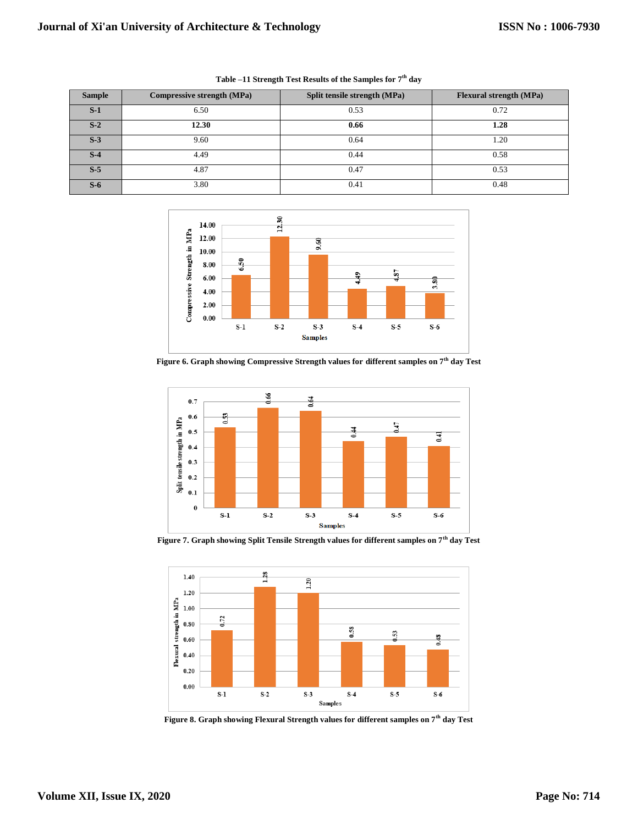| <b>Sample</b> | Compressive strength (MPa) | Split tensile strength (MPa) | <b>Flexural strength (MPa)</b> |
|---------------|----------------------------|------------------------------|--------------------------------|
| $S-1$         | 6.50                       | 0.53                         | 0.72                           |
| $S-2$         | 12.30                      | 0.66                         | 1.28                           |
| $S-3$         | 9.60                       | 0.64                         | 1.20                           |
| $S-4$         | 4.49                       | 0.44                         | 0.58                           |
| $S-5$         | 4.87                       | 0.47                         | 0.53                           |
| $S-6$         | 3.80                       | 0.41                         | 0.48                           |

**Table –11 Strength Test Results of the Samples for 7th day**



**Figure 6. Graph showing Compressive Strength values for different samples on 7th day Test**



**Figure 7. Graph showing Split Tensile Strength values for different samples on 7th day Test**



**Figure 8. Graph showing Flexural Strength values for different samples on 7th day Test**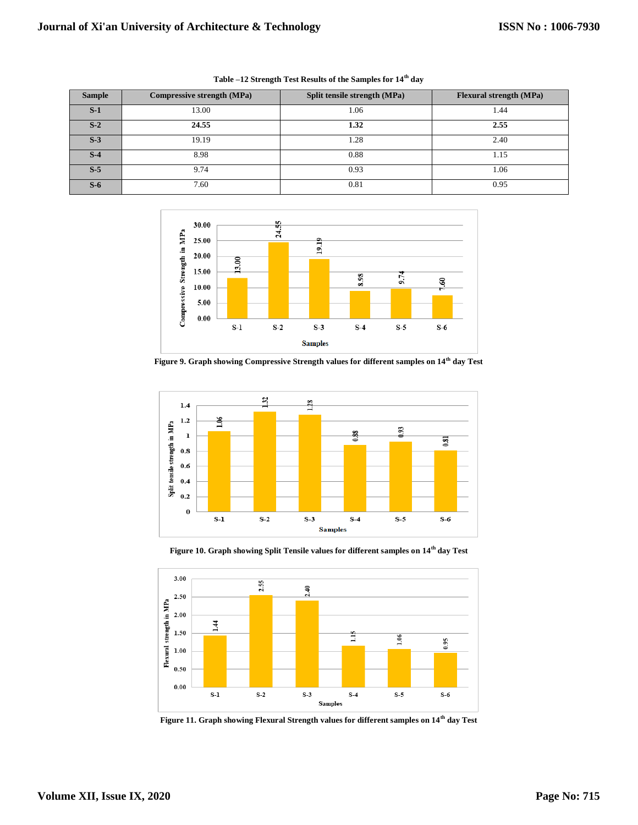| <b>Sample</b> | Compressive strength (MPa) | Split tensile strength (MPa) | <b>Flexural strength (MPa)</b> |
|---------------|----------------------------|------------------------------|--------------------------------|
| $S-1$         | 13.00                      | 1.06                         | 1.44                           |
| $S-2$         | 24.55                      | 1.32                         | 2.55                           |
| $S-3$         | 19.19                      | 1.28                         | 2.40                           |
| $S-4$         | 8.98                       | 0.88                         | 1.15                           |
| $S-5$         | 9.74                       | 0.93                         | 1.06                           |
| $S-6$         | 7.60                       | 0.81                         | 0.95                           |

**Table –12 Strength Test Results of the Samples for 14th day**



**Figure 9. Graph showing Compressive Strength values for different samples on 14th day Test**



**Figure 10. Graph showing Split Tensile values for different samples on 14th day Test**



**Figure 11. Graph showing Flexural Strength values for different samples on 14th day Test**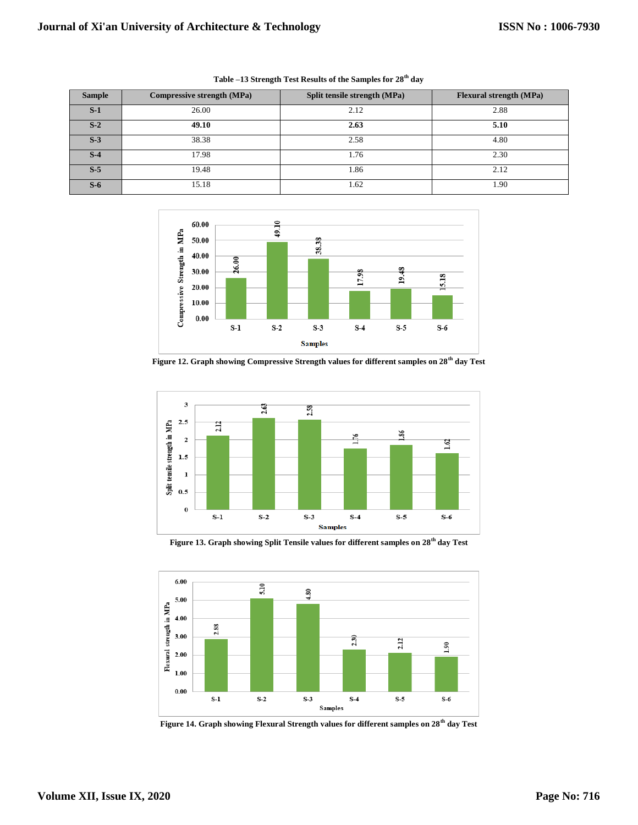| <b>Sample</b> | Compressive strength (MPa) | Split tensile strength (MPa) | <b>Flexural strength (MPa)</b> |
|---------------|----------------------------|------------------------------|--------------------------------|
| $S-1$         | 26.00                      | 2.12                         | 2.88                           |
| $S-2$         | 49.10                      | 2.63                         | 5.10                           |
| $S-3$         | 38.38                      | 2.58                         | 4.80                           |
| $S-4$         | 17.98                      | 1.76                         | 2.30                           |
| $S-5$         | 19.48                      | 1.86                         | 2.12                           |
| $S-6$         | 15.18                      | 1.62                         | 1.90                           |

**Table –13 Strength Test Results of the Samples for 28th day**



**Figure 12. Graph showing Compressive Strength values for different samples on 28th day Test**



**Figure 13. Graph showing Split Tensile values for different samples on 28th day Test**



**Figure 14. Graph showing Flexural Strength values for different samples on 28th day Test**